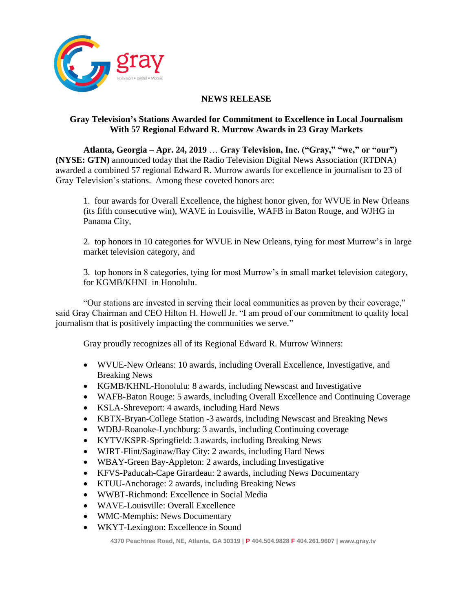

## **NEWS RELEASE**

## **Gray Television's Stations Awarded for Commitment to Excellence in Local Journalism With 57 Regional Edward R. Murrow Awards in 23 Gray Markets**

**Atlanta, Georgia – Apr. 24, 2019** … **Gray Television, Inc. ("Gray," "we," or "our") (NYSE: GTN)** announced today that the Radio Television Digital News Association (RTDNA) awarded a combined 57 regional Edward R. Murrow awards for excellence in journalism to 23 of Gray Television's stations. Among these coveted honors are:

1. four awards for Overall Excellence, the highest honor given, for WVUE in New Orleans (its fifth consecutive win), WAVE in Louisville, WAFB in Baton Rouge, and WJHG in Panama City,

2. top honors in 10 categories for WVUE in New Orleans, tying for most Murrow's in large market television category, and

3. top honors in 8 categories, tying for most Murrow's in small market television category, for KGMB/KHNL in Honolulu.

"Our stations are invested in serving their local communities as proven by their coverage," said Gray Chairman and CEO Hilton H. Howell Jr. "I am proud of our commitment to quality local journalism that is positively impacting the communities we serve."

Gray proudly recognizes all of its Regional Edward R. Murrow Winners:

- WVUE-New Orleans: 10 awards, including Overall Excellence, Investigative, and Breaking News
- KGMB/KHNL-Honolulu: 8 awards, including Newscast and Investigative
- WAFB-Baton Rouge: 5 awards, including Overall Excellence and Continuing Coverage
- KSLA-Shreveport: 4 awards, including Hard News
- KBTX-Bryan-College Station -3 awards, including Newscast and Breaking News
- WDBJ-Roanoke-Lynchburg: 3 awards, including Continuing coverage
- KYTV/KSPR-Springfield: 3 awards, including Breaking News
- WJRT-Flint/Saginaw/Bay City: 2 awards, including Hard News
- WBAY-Green Bay-Appleton: 2 awards, including Investigative
- KFVS-Paducah-Cape Girardeau: 2 awards, including News Documentary
- KTUU-Anchorage: 2 awards, including Breaking News
- WWBT-Richmond: Excellence in Social Media
- WAVE-Louisville: Overall Excellence
- WMC-Memphis: News Documentary
- WKYT-Lexington: Excellence in Sound

**4370 Peachtree Road, NE, Atlanta, GA 30319 | P 404.504.9828 F 404.261.9607 | www.gray.tv**